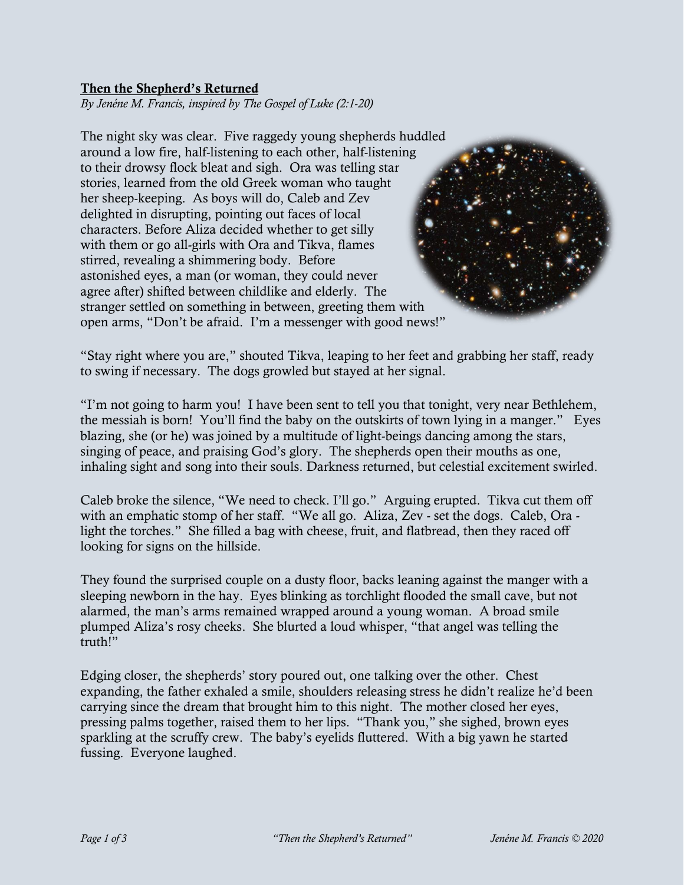## Then the Shepherd's Returned

*By Jenéne M. Francis, inspired by The Gospel of Luke (2:1-20)*

The night sky was clear. Five raggedy young shepherds huddled around a low fire, half-listening to each other, half-listening to their drowsy flock bleat and sigh. Ora was telling star stories, learned from the old Greek woman who taught her sheep-keeping. As boys will do, Caleb and Zev delighted in disrupting, pointing out faces of local characters. Before Aliza decided whether to get silly with them or go all-girls with Ora and Tikva, flames stirred, revealing a shimmering body. Before astonished eyes, a man (or woman, they could never agree after) shifted between childlike and elderly. The stranger settled on something in between, greeting them with open arms, "Don't be afraid. I'm a messenger with good news!"

"Stay right where you are," shouted Tikva, leaping to her feet and grabbing her staff, ready to swing if necessary. The dogs growled but stayed at her signal.

"I'm not going to harm you! I have been sent to tell you that tonight, very near Bethlehem, the messiah is born! You'll find the baby on the outskirts of town lying in a manger." Eyes blazing, she (or he) was joined by a multitude of light-beings dancing among the stars, singing of peace, and praising God's glory. The shepherds open their mouths as one, inhaling sight and song into their souls. Darkness returned, but celestial excitement swirled.

Caleb broke the silence, "We need to check. I'll go." Arguing erupted. Tikva cut them off with an emphatic stomp of her staff. "We all go. Aliza, Zev - set the dogs. Caleb, Ora light the torches." She filled a bag with cheese, fruit, and flatbread, then they raced off looking for signs on the hillside.

They found the surprised couple on a dusty floor, backs leaning against the manger with a sleeping newborn in the hay. Eyes blinking as torchlight flooded the small cave, but not alarmed, the man's arms remained wrapped around a young woman. A broad smile plumped Aliza's rosy cheeks. She blurted a loud whisper, "that angel was telling the truth!"

Edging closer, the shepherds' story poured out, one talking over the other. Chest expanding, the father exhaled a smile, shoulders releasing stress he didn't realize he'd been carrying since the dream that brought him to this night. The mother closed her eyes, pressing palms together, raised them to her lips. "Thank you," she sighed, brown eyes sparkling at the scruffy crew. The baby's eyelids fluttered. With a big yawn he started fussing. Everyone laughed.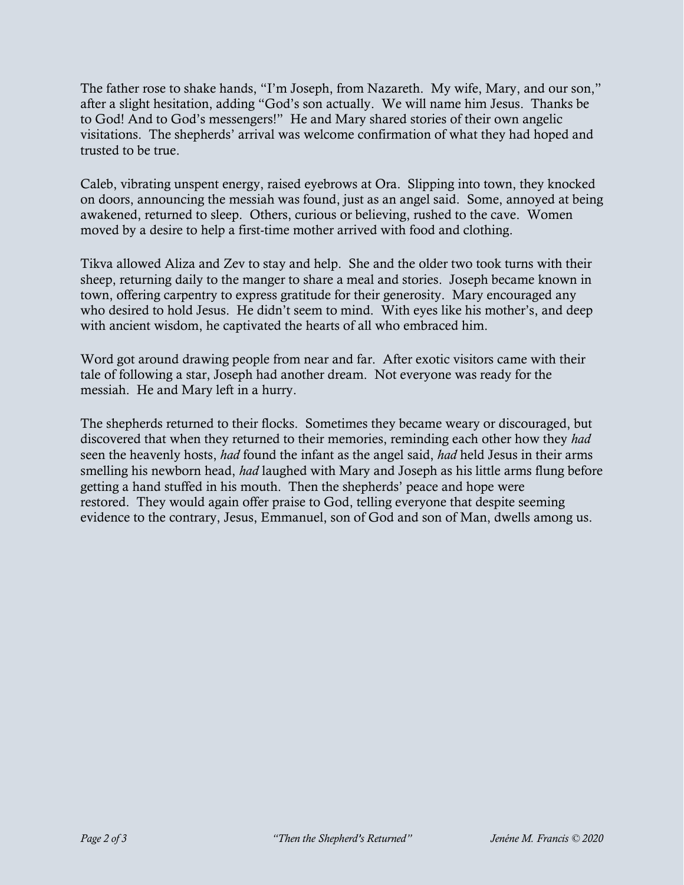The father rose to shake hands, "I'm Joseph, from Nazareth. My wife, Mary, and our son," after a slight hesitation, adding "God's son actually. We will name him Jesus. Thanks be to God! And to God's messengers!" He and Mary shared stories of their own angelic visitations. The shepherds' arrival was welcome confirmation of what they had hoped and trusted to be true.

Caleb, vibrating unspent energy, raised eyebrows at Ora. Slipping into town, they knocked on doors, announcing the messiah was found, just as an angel said. Some, annoyed at being awakened, returned to sleep. Others, curious or believing, rushed to the cave. Women moved by a desire to help a first-time mother arrived with food and clothing.

Tikva allowed Aliza and Zev to stay and help. She and the older two took turns with their sheep, returning daily to the manger to share a meal and stories. Joseph became known in town, offering carpentry to express gratitude for their generosity. Mary encouraged any who desired to hold Jesus. He didn't seem to mind. With eyes like his mother's, and deep with ancient wisdom, he captivated the hearts of all who embraced him.

Word got around drawing people from near and far. After exotic visitors came with their tale of following a star, Joseph had another dream. Not everyone was ready for the messiah. He and Mary left in a hurry.

The shepherds returned to their flocks. Sometimes they became weary or discouraged, but discovered that when they returned to their memories, reminding each other how they *had* seen the heavenly hosts, *had* found the infant as the angel said, *had* held Jesus in their arms smelling his newborn head, *had* laughed with Mary and Joseph as his little arms flung before getting a hand stuffed in his mouth. Then the shepherds' peace and hope were restored. They would again offer praise to God, telling everyone that despite seeming evidence to the contrary, Jesus, Emmanuel, son of God and son of Man, dwells among us.